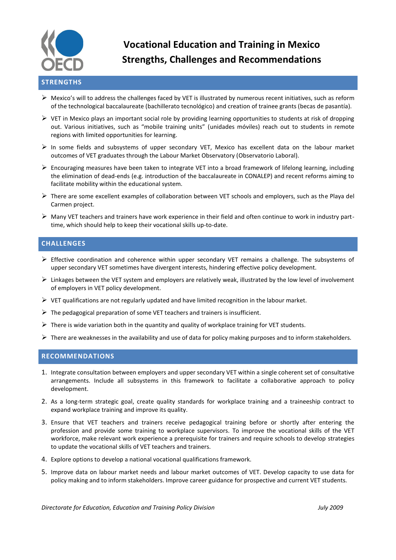

# **Vocational Education and Training in Mexico Strengths, Challenges and Recommendations**

#### $\triangleright$  Mexico's will to address the challenges faced by VET is illustrated by numerous recent initiatives, such as reform of the technological baccalaureate (bachillerato tecnológico) and creation of trainee grants (becas de pasantía).

- $\triangleright$  VET in Mexico plays an important social role by providing learning opportunities to students at risk of dropping out. Various initiatives, such as "mobile training units" (unidades móviles) reach out to students in remote regions with limited opportunities for learning.
- $\triangleright$  In some fields and subsystems of upper secondary VET, Mexico has excellent data on the labour market outcomes of VET graduates through the Labour Market Observatory (Observatorio Laboral).
- $\triangleright$  Encouraging measures have been taken to integrate VET into a broad framework of lifelong learning, including the elimination of dead-ends (e.g. introduction of the baccalaureate in CONALEP) and recent reforms aiming to facilitate mobility within the educational system.
- $\triangleright$  There are some excellent examples of collaboration between VET schools and employers, such as the Playa del Carmen project.
- $\triangleright$  Many VET teachers and trainers have work experience in their field and often continue to work in industry parttime, which should help to keep their vocational skills up-to-date.

### **CHALLENGES**

- $\triangleright$  Effective coordination and coherence within upper secondary VET remains a challenge. The subsystems of upper secondary VET sometimes have divergent interests, hindering effective policy development.
- Linkages between the VET system and employers are relatively weak, illustrated by the low level of involvement of employers in VET policy development.
- $\triangleright$  VET qualifications are not regularly updated and have limited recognition in the labour market.
- $\triangleright$  The pedagogical preparation of some VET teachers and trainers is insufficient.
- $\triangleright$  There is wide variation both in the quantity and quality of workplace training for VET students.
- $\triangleright$  There are weaknesses in the availability and use of data for policy making purposes and to inform stakeholders.

#### **RECOMMENDATIONS**

- 1. Integrate consultation between employers and upper secondary VET within a single coherent set of consultative arrangements. Include all subsystems in this framework to facilitate a collaborative approach to policy development.
- 2. As a long-term strategic goal, create quality standards for workplace training and a traineeship contract to expand workplace training and improve its quality.
- 3. Ensure that VET teachers and trainers receive pedagogical training before or shortly after entering the profession and provide some training to workplace supervisors. To improve the vocational skills of the VET workforce, make relevant work experience a prerequisite for trainers and require schools to develop strategies to update the vocational skills of VET teachers and trainers.
- 4. Explore options to develop a national vocational qualifications framework.
- 5. Improve data on labour market needs and labour market outcomes of VET. Develop capacity to use data for policy making and to inform stakeholders. Improve career guidance for prospective and current VET students.